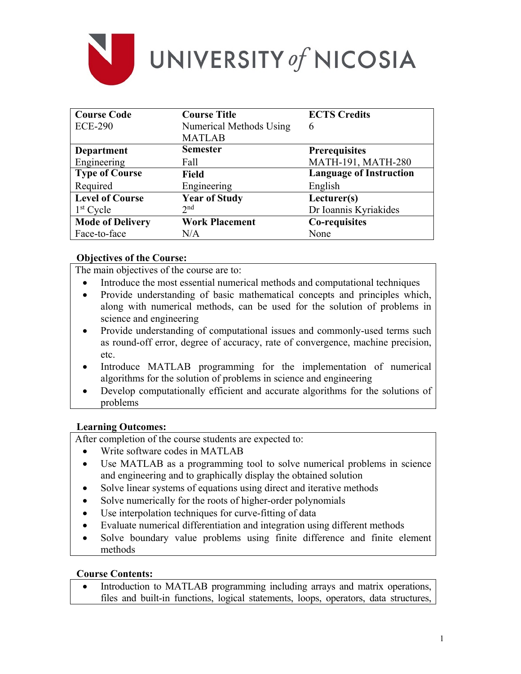

| <b>Course Code</b>      | <b>Course Title</b>     | <b>ECTS Credits</b>            |
|-------------------------|-------------------------|--------------------------------|
| <b>ECE-290</b>          | Numerical Methods Using | 6                              |
|                         | <b>MATLAB</b>           |                                |
| Department              | <b>Semester</b>         | <b>Prerequisites</b>           |
| Engineering             | Fall                    | MATH-191, MATH-280             |
| <b>Type of Course</b>   | <b>Field</b>            | <b>Language of Instruction</b> |
| Required                | Engineering             | English                        |
| <b>Level of Course</b>  | <b>Year of Study</b>    | Lecturer(s)                    |
| $1st$ Cycle             | 2 <sub>nd</sub>         | Dr Ioannis Kyriakides          |
| <b>Mode of Delivery</b> | <b>Work Placement</b>   | Co-requisites                  |
| Face-to-face            | N/A                     | None                           |

# **Objectives of the Course:**

The main objectives of the course are to:

- Introduce the most essential numerical methods and computational techniques
- Provide understanding of basic mathematical concepts and principles which, along with numerical methods, can be used for the solution of problems in science and engineering
- Provide understanding of computational issues and commonly-used terms such as round-off error, degree of accuracy, rate of convergence, machine precision, etc.
- Introduce MATLAB programming for the implementation of numerical algorithms for the solution of problems in science and engineering
- Develop computationally efficient and accurate algorithms for the solutions of problems

### **Learning Outcomes:**

After completion of the course students are expected to:

- Write software codes in MATLAB
- Use MATLAB as a programming tool to solve numerical problems in science and engineering and to graphically display the obtained solution
- Solve linear systems of equations using direct and iterative methods
- Solve numerically for the roots of higher-order polynomials
- Use interpolation techniques for curve-fitting of data
- Evaluate numerical differentiation and integration using different methods
- Solve boundary value problems using finite difference and finite element methods

### **Course Contents:**

 Introduction to MATLAB programming including arrays and matrix operations, files and built-in functions, logical statements, loops, operators, data structures,